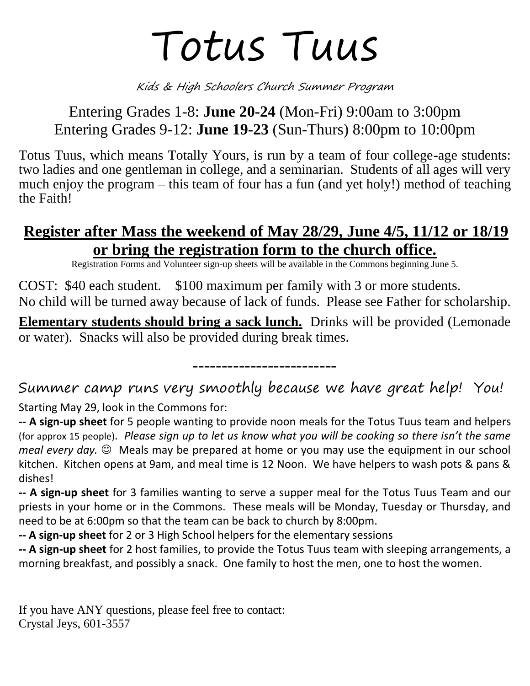# Totus Tuus

Kids & High Schoolers Church Summer Program

## Entering Grades 1-8: **June 20-24** (Mon-Fri) 9:00am to 3:00pm Entering Grades 9-12: **June 19-23** (Sun-Thurs) 8:00pm to 10:00pm

Totus Tuus, which means Totally Yours, is run by a team of four college-age students: two ladies and one gentleman in college, and a seminarian. Students of all ages will very much enjoy the program – this team of four has a fun (and yet holy!) method of teaching the Faith!

## **Register after Mass the weekend of May 28/29, June 4/5, 11/12 or 18/19 or bring the registration form to the church office.**

Registration Forms and Volunteer sign-up sheets will be available in the Commons beginning June 5.

COST: \$40 each student. \$100 maximum per family with 3 or more students. No child will be turned away because of lack of funds. Please see Father for scholarship.

**Elementary students should bring a sack lunch.** Drinks will be provided (Lemonade or water). Snacks will also be provided during break times.

-------------------------

Summer camp runs very smoothly because we have great help! You! Starting May 29, look in the Commons for:

**-- A sign-up sheet** for 5 people wanting to provide noon meals for the Totus Tuus team and helpers (for approx 15 people). *Please sign up to let us know what you will be cooking so there isn't the same meal every day.*  $\odot$  Meals may be prepared at home or you may use the equipment in our school kitchen. Kitchen opens at 9am, and meal time is 12 Noon. We have helpers to wash pots & pans & dishes!

**-- A sign-up sheet** for 3 families wanting to serve a supper meal for the Totus Tuus Team and our priests in your home or in the Commons. These meals will be Monday, Tuesday or Thursday, and need to be at 6:00pm so that the team can be back to church by 8:00pm.

**-- A sign-up sheet** for 2 or 3 High School helpers for the elementary sessions

**-- A sign-up sheet** for 2 host families, to provide the Totus Tuus team with sleeping arrangements, a morning breakfast, and possibly a snack. One family to host the men, one to host the women.

If you have ANY questions, please feel free to contact: Crystal Jeys, 601-3557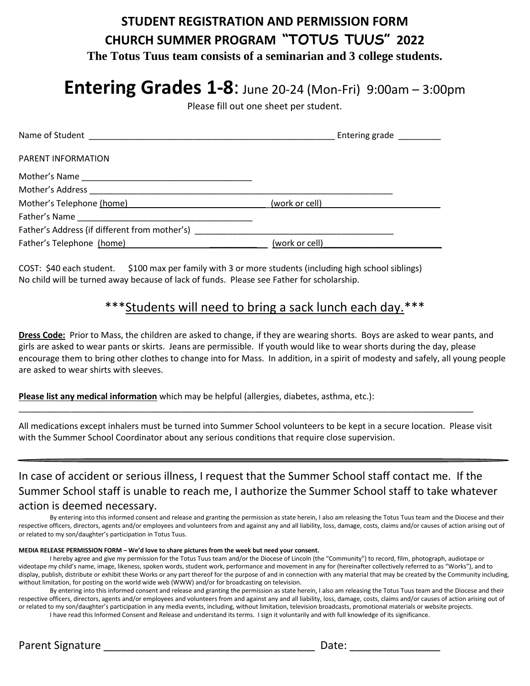## **STUDENT REGISTRATION AND PERMISSION FORM CHURCH SUMMER PROGRAM "TOTUS TUUS" 2022 The Totus Tuus team consists of a seminarian and 3 college students.**

# **Entering Grades 1-8**: June 20-24 (Mon-Fri) 9:00am – 3:00pm

Please fill out one sheet per student.

|                                                                                         | Entering grade ________ |
|-----------------------------------------------------------------------------------------|-------------------------|
| PARENT INFORMATION                                                                      |                         |
|                                                                                         |                         |
|                                                                                         |                         |
| Mother's Telephone (home) [19] Mother's Telephone (home) [19] Mother's Telephone (home) | (work or cell)          |
| Father's Name                                                                           |                         |
| Father's Address (if different from mother's)                                           |                         |
| Father's Telephone (home)                                                               | (work or cell)          |

COST: \$40 each student. \$100 max per family with 3 or more students (including high school siblings) No child will be turned away because of lack of funds. Please see Father for scholarship.

### \*\*\*Students will need to bring a sack lunch each day.\*\*\*

**Dress Code:** Prior to Mass, the children are asked to change, if they are wearing shorts. Boys are asked to wear pants, and girls are asked to wear pants or skirts. Jeans are permissible. If youth would like to wear shorts during the day, please encourage them to bring other clothes to change into for Mass. In addition, in a spirit of modesty and safely, all young people are asked to wear shirts with sleeves.

**Please list any medical information** which may be helpful (allergies, diabetes, asthma, etc.):

All medications except inhalers must be turned into Summer School volunteers to be kept in a secure location. Please visit with the Summer School Coordinator about any serious conditions that require close supervision.

\_\_\_\_\_\_\_\_\_\_\_\_\_\_\_\_\_\_\_\_\_\_\_\_\_\_\_\_\_\_\_\_\_\_\_\_\_\_\_\_\_\_\_\_\_\_\_\_\_\_\_\_\_\_\_\_\_\_\_\_\_\_\_\_\_\_\_\_\_\_\_\_\_\_\_\_\_\_\_\_\_\_\_\_\_\_\_\_\_\_\_\_\_\_\_\_

In case of accident or serious illness, I request that the Summer School staff contact me. If the Summer School staff is unable to reach me, I authorize the Summer School staff to take whatever action is deemed necessary.

By entering into this informed consent and release and granting the permission as state herein, I also am releasing the Totus Tuus team and the Diocese and their respective officers, directors, agents and/or employees and volunteers from and against any and all liability, loss, damage, costs, claims and/or causes of action arising out of or related to my son/daughter's participation in Totus Tuus.

#### **MEDIA RELEASE PERMISSION FORM – We'd love to share pictures from the week but need your consent.**

I hereby agree and give my permission for the Totus Tuus team and/or the Diocese of Lincoln (the "Community") to record, film, photograph, audiotape or videotape my child's name, image, likeness, spoken words, student work, performance and movement in any for (hereinafter collectively referred to as "Works"), and to display, publish, distribute or exhibit these Works or any part thereof for the purpose of and in connection with any material that may be created by the Community including, without limitation, for posting on the world wide web (WWW) and/or for broadcasting on television.

By entering into this informed consent and release and granting the permission as state herein, I also am releasing the Totus Tuus team and the Diocese and their respective officers, directors, agents and/or employees and volunteers from and against any and all liability, loss, damage, costs, claims and/or causes of action arising out of or related to my son/daughter's participation in any media events, including, without limitation, television broadcasts, promotional materials or website projects. I have read this Informed Consent and Release and understand its terms. I sign it voluntarily and with full knowledge of its significance.

Parent Signature \_\_\_\_\_\_\_\_\_\_\_\_\_\_\_\_\_\_\_\_\_\_\_\_\_\_\_\_\_\_\_\_\_\_\_ Date: \_\_\_\_\_\_\_\_\_\_\_\_\_\_\_